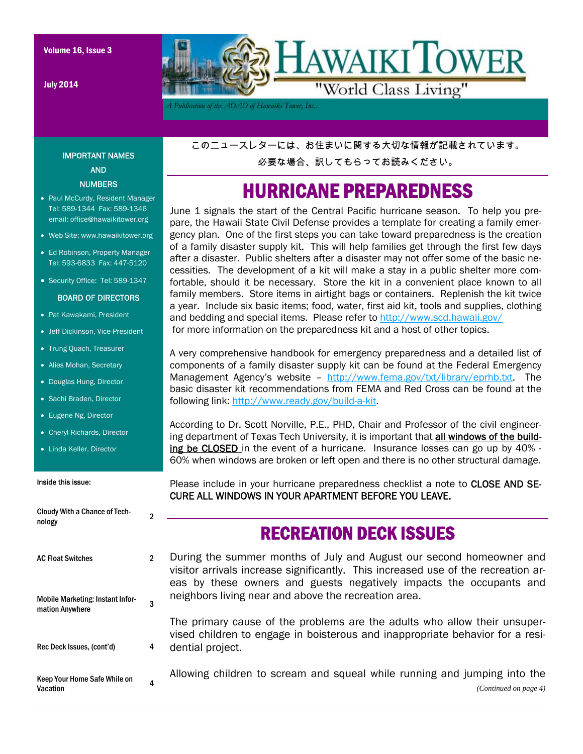July 2014



*A Publication of the AOAO of Hawaiki Tower, Inc..* 

#### IMPORTANT NAMES AND NUMBERS

- Paul McCurdy, Resident Manager Tel: 589-1344 Fax: 589-1346 email: office@hawaikitower.org
- Web Site: www.hawaikitower.org
- Ed Robinson, Property Manager Tel: 593-6833 Fax: 447-5120
- Security Office: Tel: 589-1347

#### BOARD OF DIRECTORS

- Pat Kawakami, President
- Jeff Dickinson, Vice-President
- Trung Quach, Treasurer
- Alies Mohan, Secretary
- Douglas Hung, Director
- Sachi Braden, Director
- Eugene Ng, Director
- Cheryl Richards, Director
- Linda Keller, Director

#### Inside this issue:

| <b>Cloudy With a Chance of Tech-</b><br>nology      | 2 |   |
|-----------------------------------------------------|---|---|
| <b>AC Float Switches</b>                            | 2 | е |
| Mobile Marketing: Instant Infor-<br>mation Anywhere | 3 | r |
| Rec Deck Issues, (cont'd)                           | 4 | C |
| Keep Your Home Safe While on<br>Vacation            | 4 | F |

このニュースレターには、お住まいに関する大切な情報が記載されています。

必要な場合、訳してもらってお読みください。

### HURRICANE PREPAREDNESS

June 1 signals the start of the Central Pacific hurricane season. To help you prepare, the Hawaii State Civil Defense provides a template for creating a family emergency plan. One of the first steps you can take toward preparedness is the creation of a family disaster supply kit. This will help families get through the first few days after a disaster. Public shelters after a disaster may not offer some of the basic necessities. The development of a kit will make a stay in a public shelter more comfortable, should it be necessary. Store the kit in a convenient place known to all family members. Store items in airtight bags or containers. Replenish the kit twice a year. Include six basic items; food, water, first aid kit, tools and supplies, clothing and bedding and special items. Please refer to http://www.scd.hawaii.gov/ for more information on the preparedness kit and a host of other topics.

A very comprehensive handbook for emergency preparedness and a detailed list of components of a family disaster supply kit can be found at the Federal Emergency Management Agency's website - http://www.fema.gov/txt/library/eprhb.txt. The basic disaster kit recommendations from FEMA and Red Cross can be found at the following link: http://www.ready.gov/build-a-kit.

According to Dr. Scott Norville, P.E., PHD, Chair and Professor of the civil engineering department of Texas Tech University, it is important that all windows of the building be CLOSED in the event of a hurricane. Insurance losses can go up by 40% -60% when windows are broken or left open and there is no other structural damage.

Please include in your hurricane preparedness checklist a note to CLOSE AND SE-CURE ALL WINDOWS IN YOUR APARTMENT BEFORE YOU LEAVE.

#### RECREATION DECK ISSUES

During the summer months of July and August our second homeowner and visitor arrivals increase significantly. This increased use of the recreation areas by these owners and guests negatively impacts the occupants and neighbors living near and above the recreation area.

The primary cause of the problems are the adults who allow their unsupervised children to engage in boisterous and inappropriate behavior for a residential project.

Allowing children to scream and squeal while running and jumping into the *(Continued on page 4)*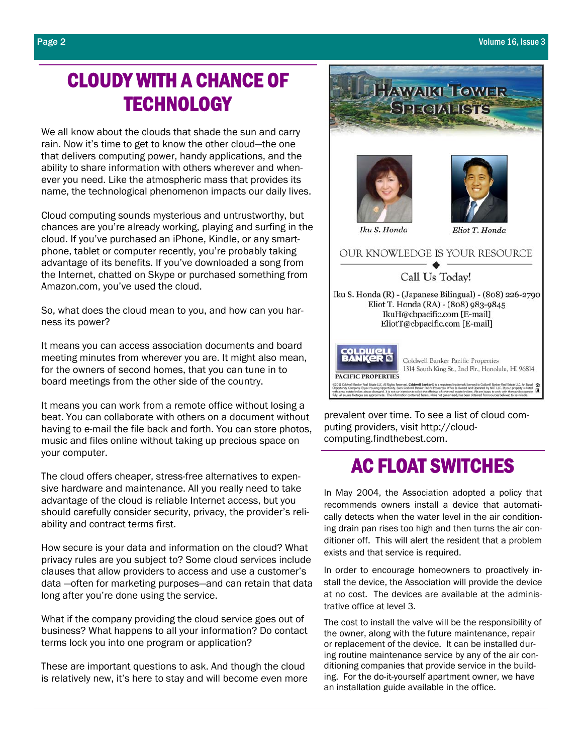## CLOUDY WITH A CHANCE OF **TECHNOLOGY**

We all know about the clouds that shade the sun and carry rain. Now it's time to get to know the other cloud—the one that delivers computing power, handy applications, and the ability to share information with others wherever and whenever you need. Like the atmospheric mass that provides its name, the technological phenomenon impacts our daily lives.

Cloud computing sounds mysterious and untrustworthy, but chances are you're already working, playing and surfing in the cloud. If you've purchased an iPhone, Kindle, or any smartphone, tablet or computer recently, you're probably taking advantage of its benefits. If you've downloaded a song from the Internet, chatted on Skype or purchased something from Amazon.com, you've used the cloud.

So, what does the cloud mean to you, and how can you harness its power?

It means you can access association documents and board meeting minutes from wherever you are. It might also mean, for the owners of second homes, that you can tune in to board meetings from the other side of the country.

It means you can work from a remote office without losing a beat. You can collaborate with others on a document without having to e-mail the file back and forth. You can store photos, music and files online without taking up precious space on your computer.

The cloud offers cheaper, stress-free alternatives to expensive hardware and maintenance. All you really need to take advantage of the cloud is reliable Internet access, but you should carefully consider security, privacy, the provider's reliability and contract terms first.

How secure is your data and information on the cloud? What privacy rules are you subject to? Some cloud services include clauses that allow providers to access and use a customer's data —often for marketing purposes—and can retain that data long after you're done using the service.

What if the company providing the cloud service goes out of business? What happens to all your information? Do contact terms lock you into one program or application?

These are important questions to ask. And though the cloud is relatively new, it's here to stay and will become even more



prevalent over time. To see a list of cloud computing providers, visit http://cloudcomputing.findthebest.com.

## AC FLOAT SWITCHES

In May 2004, the Association adopted a policy that recommends owners install a device that automatically detects when the water level in the air conditioning drain pan rises too high and then turns the air conditioner off. This will alert the resident that a problem exists and that service is required.

In order to encourage homeowners to proactively install the device, the Association will provide the device at no cost. The devices are available at the administrative office at level 3.

The cost to install the valve will be the responsibility of the owner, along with the future maintenance, repair or replacement of the device. It can be installed during routine maintenance service by any of the air conditioning companies that provide service in the building. For the do-it-yourself apartment owner, we have an installation guide available in the office.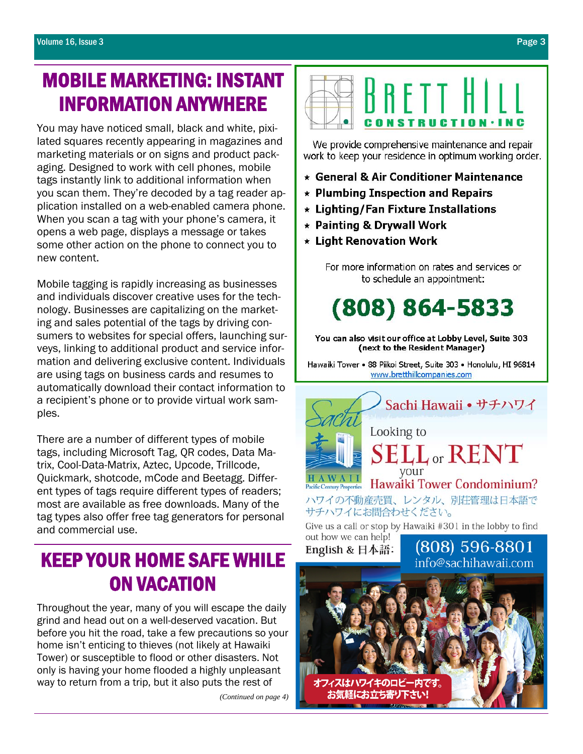## MOBILE MARKETING: INSTANT INFORMATION ANYWHERE

You may have noticed small, black and white, pixilated squares recently appearing in magazines and marketing materials or on signs and product packaging. Designed to work with cell phones, mobile tags instantly link to additional information when you scan them. They're decoded by a tag reader application installed on a web-enabled camera phone. When you scan a tag with your phone's camera, it opens a web page, displays a message or takes some other action on the phone to connect you to new content.

Mobile tagging is rapidly increasing as businesses and individuals discover creative uses for the technology. Businesses are capitalizing on the marketing and sales potential of the tags by driving consumers to websites for special offers, launching surveys, linking to additional product and service information and delivering exclusive content. Individuals are using tags on business cards and resumes to automatically download their contact information to a recipient's phone or to provide virtual work samples.

There are a number of different types of mobile tags, including Microsoft Tag, QR codes, Data Matrix, Cool-Data-Matrix, Aztec, Upcode, Trillcode, Quickmark, shotcode, mCode and Beetagg. Different types of tags require different types of readers; most are available as free downloads. Many of the tag types also offer free tag generators for personal and commercial use.

## KEEP YOUR HOME SAFE WHILE ON VACATION

 Throughout the year, many of you will escape the daily grind and head out on a well-deserved vacation. But before you hit the road, take a few precautions so your home isn't enticing to thieves (not likely at Hawaiki Tower) or susceptible to flood or other disasters. Not only is having your home flooded a highly unpleasant way to return from a trip, but it also puts the rest of

*(Continued on page 4)* 



We provide comprehensive maintenance and repair work to keep your residence in optimum working order.

- \* General & Air Conditioner Maintenance
- $\star$  Plumbing Inspection and Repairs
- \* Lighting/Fan Fixture Installations
- \* Painting & Drywall Work
- \* Light Renovation Work

For more information on rates and services or to schedule an appointment:

# $(808) 864 - 5833$

You can also visit our office at Lobby Level, Suite 303 (next to the Resident Manager)

Hawaiki Tower • 88 Piikoi Street, Suite 303 • Honolulu, HI 96814 www.bretthillcompanies.com



Give us a call or stop by Hawaiki #301 in the lobby to find out how we can help! (808) 596-8801

English & 日本語:

info@sachihawaji.com